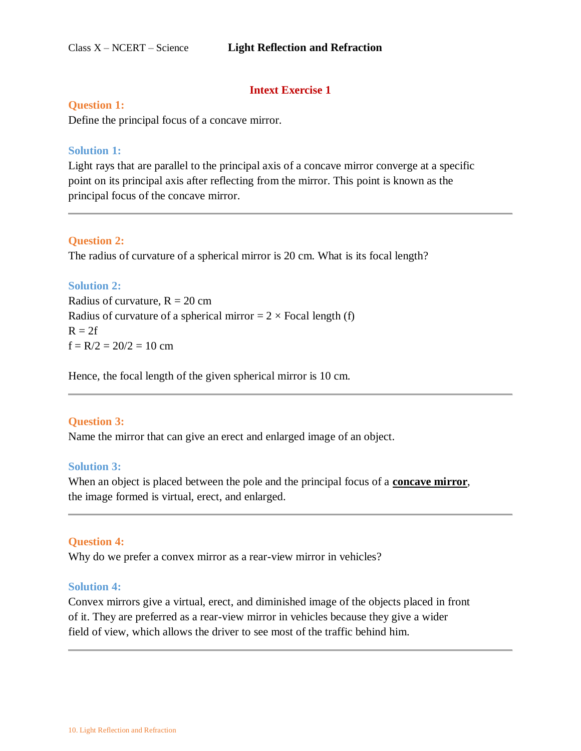# **Intext Exercise 1**

### **Question 1:**

Define the principal focus of a concave mirror.

#### **Solution 1:**

Light rays that are parallel to the principal axis of a concave mirror converge at a specific point on its principal axis after reflecting from the mirror. This point is known as the principal focus of the concave mirror.

#### **Question 2:**

The radius of curvature of a spherical mirror is 20 cm. What is its focal length?

## **Solution 2:**

Radius of curvature,  $R = 20$  cm Radius of curvature of a spherical mirror  $= 2 \times$  Focal length (f)  $R = 2f$  $f = R/2 = 20/2 = 10$  cm

Hence, the focal length of the given spherical mirror is 10 cm.

#### **Question 3:**

Name the mirror that can give an erect and enlarged image of an object.

#### **Solution 3:**

When an object is placed between the pole and the principal focus of a **concave mirror**, the image formed is virtual, erect, and enlarged.

#### **Question 4:**

Why do we prefer a convex mirror as a rear-view mirror in vehicles?

#### **Solution 4:**

Convex mirrors give a virtual, erect, and diminished image of the objects placed in front of it. They are preferred as a rear-view mirror in vehicles because they give a wider field of view, which allows the driver to see most of the traffic behind him.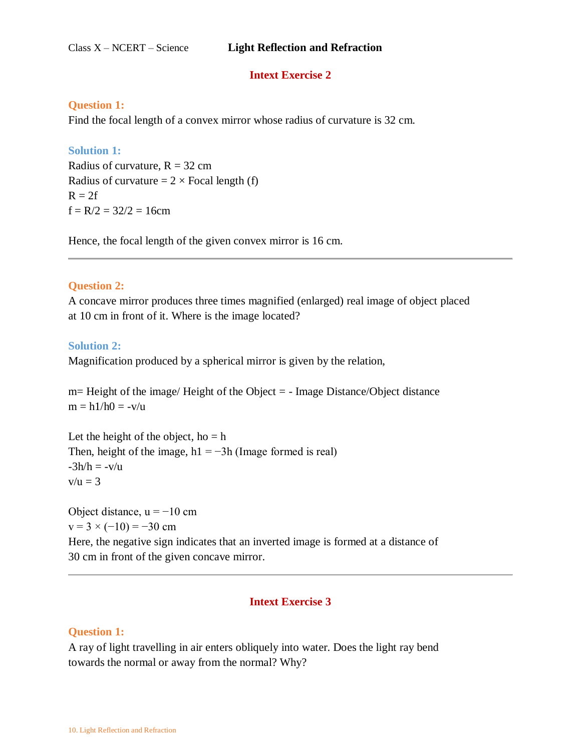# **Intext Exercise 2**

## **Question 1:**

Find the focal length of a convex mirror whose radius of curvature is 32 cm.

## **Solution 1:**

Radius of curvature,  $R = 32$  cm Radius of curvature  $= 2 \times$  Focal length (f)  $R = 2f$  $f = R/2 = 32/2 = 16$ cm

Hence, the focal length of the given convex mirror is 16 cm.

## **Question 2:**

A concave mirror produces three times magnified (enlarged) real image of object placed at 10 cm in front of it. Where is the image located?

## **Solution 2:**

Magnification produced by a spherical mirror is given by the relation,

m= Height of the image/ Height of the Object = - Image Distance/Object distance  $m = h1/h0 = -v/u$ 

Let the height of the object,  $ho = h$ Then, height of the image, h1 =  $-3h$  (Image formed is real)  $-3h/h = -v/u$  $v/u = 3$ 

Object distance,  $u = -10$  cm  $v = 3 \times (-10) = -30$  cm Here, the negative sign indicates that an inverted image is formed at a distance of 30 cm in front of the given concave mirror.

# **Intext Exercise 3**

# **Question 1:**

A ray of light travelling in air enters obliquely into water. Does the light ray bend towards the normal or away from the normal? Why?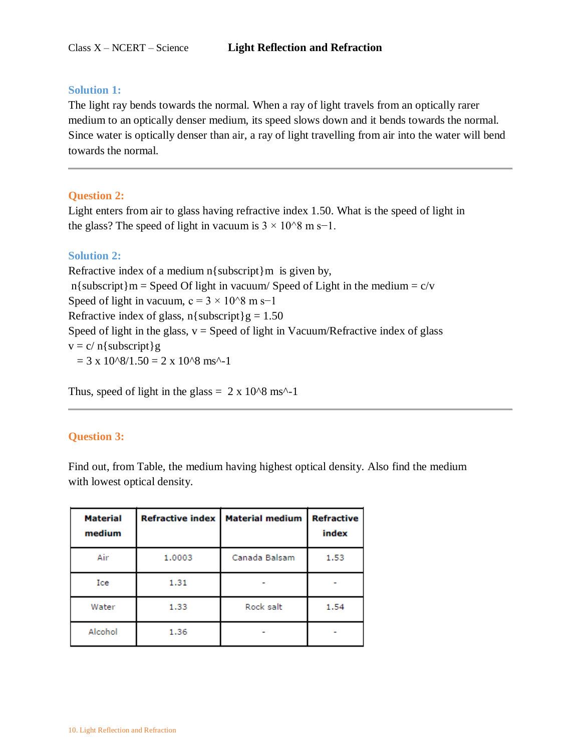#### **Solution 1:**

The light ray bends towards the normal. When a ray of light travels from an optically rarer medium to an optically denser medium, its speed slows down and it bends towards the normal. Since water is optically denser than air, a ray of light travelling from air into the water will bend towards the normal.

### **Question 2:**

Light enters from air to glass having refractive index 1.50. What is the speed of light in the glass? The speed of light in vacuum is  $3 \times 10^{6}$  m s−1.

## **Solution 2:**

Refractive index of a medium  $n$ { subscript}m is given by, n{subscript}m = Speed Of light in vacuum/ Speed of Light in the medium =  $c/v$ Speed of light in vacuum, c =  $3 \times 10^{8}$  m s−1 Refractive index of glass,  $n$ { subscript}g = 1.50 Speed of light in the glass,  $v =$  Speed of light in Vacuum/Refractive index of glass  $v = c / n$ {subscript}g  $= 3 \times 10^{8}/1.50 = 2 \times 10^{8}$  ms<sup>^-1</sup>

Thus, speed of light in the glass =  $2 \times 10^{8}$  ms<sup> $\land$ </sup>-1

#### **Question 3:**

Find out, from Table, the medium having highest optical density. Also find the medium with lowest optical density.

| <b>Material</b><br>medium | <b>Refractive index</b> | <b>Material medium</b> | <b>Refractive</b><br>index |
|---------------------------|-------------------------|------------------------|----------------------------|
| Air                       | 1,0003                  | Canada Balsam          | 1.53                       |
| Ice                       | 1.31                    |                        |                            |
| Water                     | 1.33                    | Rock salt              | 1.54                       |
| Alcohol                   | 1.36                    |                        |                            |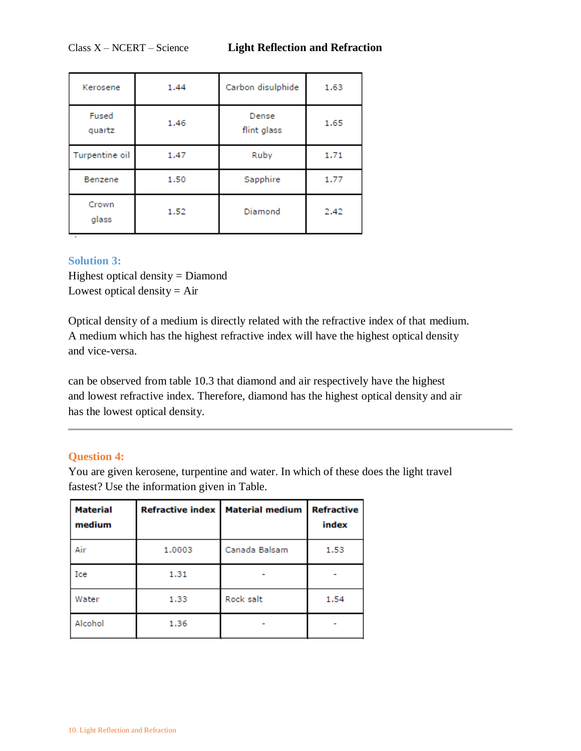| Kerosene        | 1.44 | Carbon disulphide    | 1.63 |
|-----------------|------|----------------------|------|
| Fused<br>quartz | 1.46 | Dense<br>flint glass | 1.65 |
| Turpentine oil  | 1.47 | Ruby                 | 1.71 |
| Benzene         | 1.50 | Sapphire             | 1.77 |
| Crown<br>glass  | 1.52 | Diamond              | 2.42 |

## **Solution 3:**

Highest optical density = Diamond Lowest optical density  $=$  Air

Optical density of a medium is directly related with the refractive index of that medium. A medium which has the highest refractive index will have the highest optical density and vice-versa.

can be observed from table 10.3 that diamond and air respectively have the highest and lowest refractive index. Therefore, diamond has the highest optical density and air has the lowest optical density.

## **Question 4:**

You are given kerosene, turpentine and water. In which of these does the light travel fastest? Use the information given in Table.

| <b>Material</b><br>medium |        | Refractive index   Material medium | <b>Refractive</b><br>index |
|---------------------------|--------|------------------------------------|----------------------------|
| Air                       | 1,0003 | Canada Balsam                      | 1.53                       |
| Ice                       | 1.31   |                                    |                            |
| Water                     | 1.33   | Rock salt                          | 1.54                       |
| Alcohol                   | 1.36   |                                    |                            |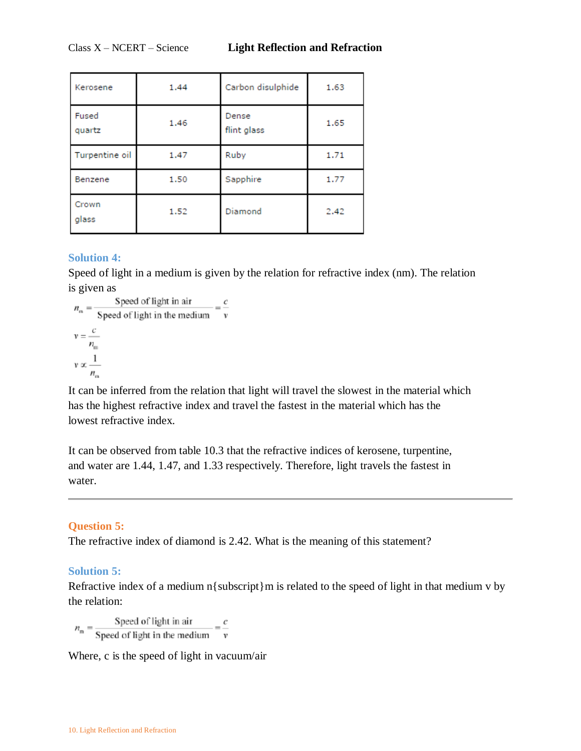| Kerosene        | 1.44 | Carbon disulphide    | 1.63 |
|-----------------|------|----------------------|------|
| Fused<br>quartz | 1.46 | Dense<br>flint glass | 1.65 |
| Turpentine oil  | 1.47 | Ruby                 | 1.71 |
| Benzene         | 1.50 | Sapphire             | 1.77 |
| Crown<br>glass  | 1.52 | Diamond              | 2.42 |

# **Solution 4:**

Speed of light in a medium is given by the relation for refractive index (nm). The relation is given as

$$
n_{\rm m} = \frac{\text{Speed of light in air}}{\text{Speed of light in the medium}} = \frac{c}{v}
$$
  

$$
v = \frac{c}{n_{\rm m}}
$$
  

$$
v \propto \frac{1}{n_{\rm m}}
$$

It can be inferred from the relation that light will travel the slowest in the material which has the highest refractive index and travel the fastest in the material which has the lowest refractive index.

It can be observed from table 10.3 that the refractive indices of kerosene, turpentine, and water are 1.44, 1.47, and 1.33 respectively. Therefore, light travels the fastest in water.

#### **Question 5:**

The refractive index of diamond is 2.42. What is the meaning of this statement?

## **Solution 5:**

Refractive index of a medium n{subscript}m is related to the speed of light in that medium v by the relation:

 $n_{\rm m} = \frac{\text{Speed of light in air}}{\text{Speed of light in the medium}} = \frac{c}{v}$ 

Where, c is the speed of light in vacuum/air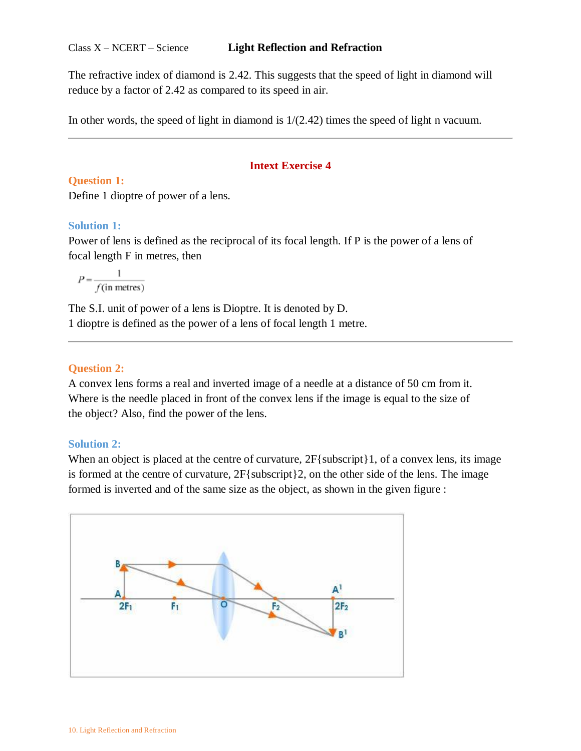#### Class X – NCERT – Science **Light Reflection and Refraction**

The refractive index of diamond is 2.42. This suggests that the speed of light in diamond will reduce by a factor of 2.42 as compared to its speed in air.

In other words, the speed of light in diamond is 1/(2.42) times the speed of light n vacuum.

# **Intext Exercise 4**

**Question 1:** Define 1 dioptre of power of a lens.

# **Solution 1:**

Power of lens is defined as the reciprocal of its focal length. If P is the power of a lens of focal length F in metres, then

 $P = \frac{1}{f(\text{in metres})}$ 

The S.I. unit of power of a lens is Dioptre. It is denoted by D. 1 dioptre is defined as the power of a lens of focal length 1 metre.

# **Question 2:**

A convex lens forms a real and inverted image of a needle at a distance of 50 cm from it. Where is the needle placed in front of the convex lens if the image is equal to the size of the object? Also, find the power of the lens.

# **Solution 2:**

When an object is placed at the centre of curvature,  $2F$ {subscript}1, of a convex lens, its image is formed at the centre of curvature, 2F{subscript}2, on the other side of the lens. The image formed is inverted and of the same size as the object, as shown in the given figure :

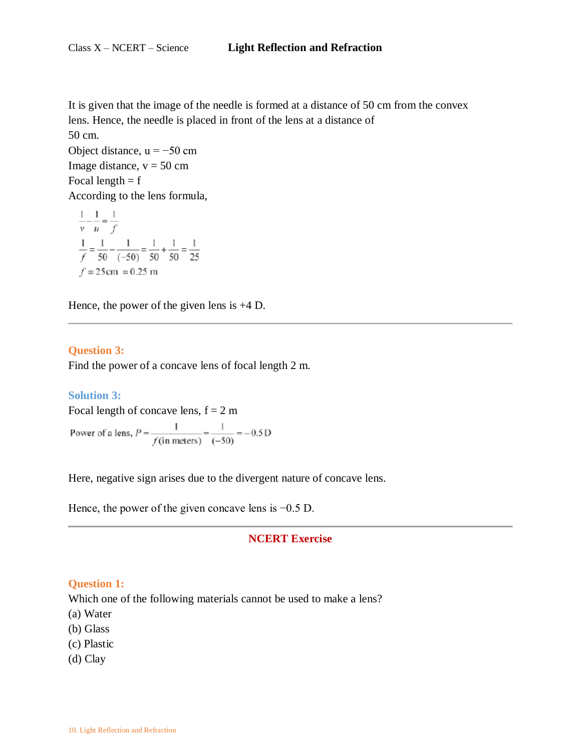It is given that the image of the needle is formed at a distance of 50 cm from the convex lens. Hence, the needle is placed in front of the lens at a distance of

50 cm. Object distance,  $u = -50$  cm Image distance,  $v = 50$  cm Focal length  $= f$ According to the lens formula,

 $\frac{1}{v} - \frac{1}{u} = \frac{1}{f}$  $\frac{1}{f} = \frac{1}{50} - \frac{1}{(-50)} = \frac{1}{50} + \frac{1}{50} = \frac{1}{25}$  $f = 25$  cm = 0.25 m

Hence, the power of the given lens is +4 D.

### **Question 3:**

Find the power of a concave lens of focal length 2 m.

#### **Solution 3:**

Focal length of concave lens,  $f = 2 m$ Power of a lens,  $P = \frac{1}{f(in \text{ meters})} = \frac{1}{(-50)} = -0.5 \text{ D}$ 

Here, negative sign arises due to the divergent nature of concave lens.

Hence, the power of the given concave lens is  $-0.5$  D.

## **NCERT Exercise**

#### **Question 1:**

Which one of the following materials cannot be used to make a lens?

(a) Water

- (b) Glass
- (c) Plastic
- (d) Clay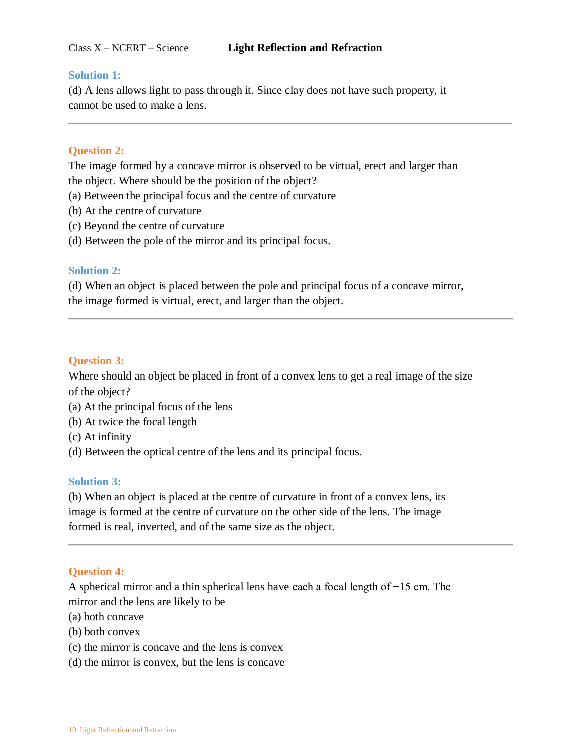## **Solution 1:**

(d) A lens allows light to pass through it. Since clay does not have such property, it cannot be used to make a lens.

## **Question 2:**

The image formed by a concave mirror is observed to be virtual, erect and larger than the object. Where should be the position of the object?

- (a) Between the principal focus and the centre of curvature
- (b) At the centre of curvature
- (c) Beyond the centre of curvature
- (d) Between the pole of the mirror and its principal focus.

## **Solution 2:**

(d) When an object is placed between the pole and principal focus of a concave mirror, the image formed is virtual, erect, and larger than the object.

## **Question 3:**

Where should an object be placed in front of a convex lens to get a real image of the size of the object?

- (a) At the principal focus of the lens
- (b) At twice the focal length
- (c) At infinity
- (d) Between the optical centre of the lens and its principal focus.

#### **Solution 3:**

(b) When an object is placed at the centre of curvature in front of a convex lens, its image is formed at the centre of curvature on the other side of the lens. The image formed is real, inverted, and of the same size as the object.

#### **Question 4:**

A spherical mirror and a thin spherical lens have each a focal length of −15 cm. The mirror and the lens are likely to be

- (a) both concave
- (b) both convex
- (c) the mirror is concave and the lens is convex
- (d) the mirror is convex, but the lens is concave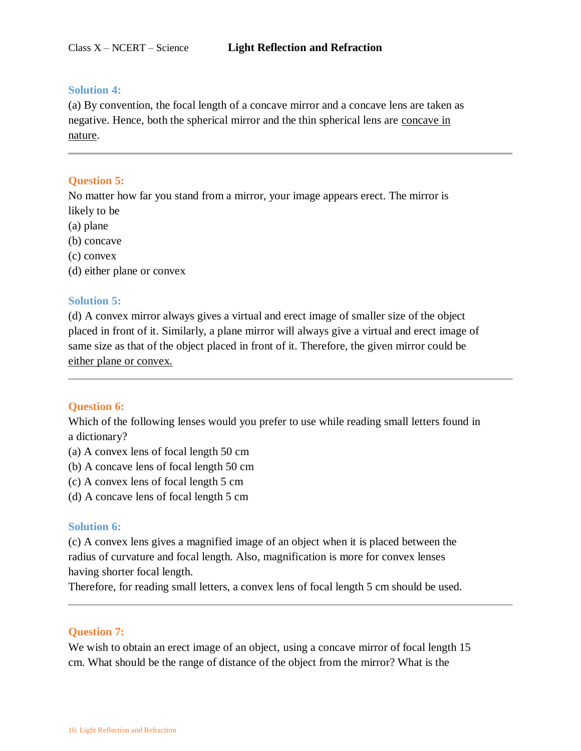#### **Solution 4:**

(a) By convention, the focal length of a concave mirror and a concave lens are taken as negative. Hence, both the spherical mirror and the thin spherical lens are concave in nature.

## **Question 5:**

No matter how far you stand from a mirror, your image appears erect. The mirror is likely to be

(a) plane

- (b) concave
- (c) convex
- (d) either plane or convex

#### **Solution 5:**

(d) A convex mirror always gives a virtual and erect image of smaller size of the object placed in front of it. Similarly, a plane mirror will always give a virtual and erect image of same size as that of the object placed in front of it. Therefore, the given mirror could be either plane or convex.

#### **Question 6:**

Which of the following lenses would you prefer to use while reading small letters found in a dictionary?

- (a) A convex lens of focal length 50 cm
- (b) A concave lens of focal length 50 cm
- (c) A convex lens of focal length 5 cm
- (d) A concave lens of focal length 5 cm

#### **Solution 6:**

(c) A convex lens gives a magnified image of an object when it is placed between the radius of curvature and focal length. Also, magnification is more for convex lenses having shorter focal length.

Therefore, for reading small letters, a convex lens of focal length 5 cm should be used.

## **Question 7:**

We wish to obtain an erect image of an object, using a concave mirror of focal length 15 cm. What should be the range of distance of the object from the mirror? What is the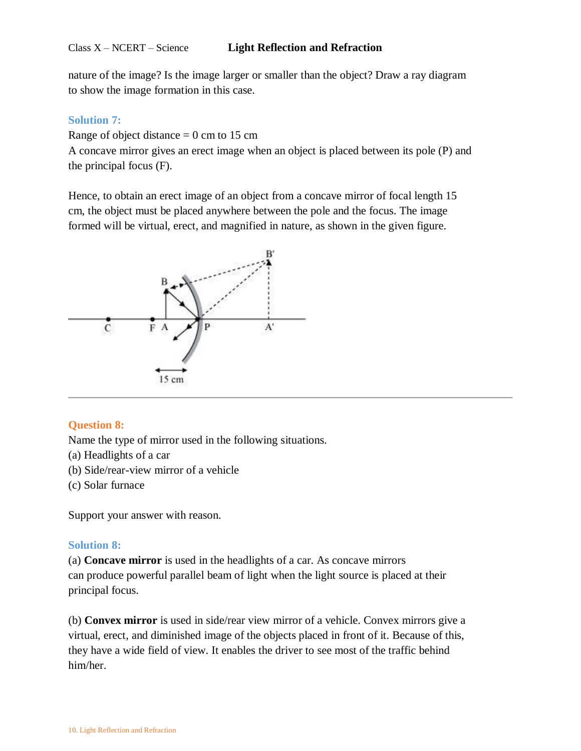nature of the image? Is the image larger or smaller than the object? Draw a ray diagram to show the image formation in this case.

## **Solution 7:**

Range of object distance  $= 0$  cm to 15 cm

A concave mirror gives an erect image when an object is placed between its pole (P) and the principal focus (F).

Hence, to obtain an erect image of an object from a concave mirror of focal length 15 cm, the object must be placed anywhere between the pole and the focus. The image formed will be virtual, erect, and magnified in nature, as shown in the given figure.



# **Question 8:**

Name the type of mirror used in the following situations.

- (a) Headlights of a car
- (b) Side/rear-view mirror of a vehicle
- (c) Solar furnace

Support your answer with reason.

## **Solution 8:**

(a) **Concave mirror** is used in the headlights of a car. As concave mirrors can produce powerful parallel beam of light when the light source is placed at their principal focus.

(b) **Convex mirror** is used in side/rear view mirror of a vehicle. Convex mirrors give a virtual, erect, and diminished image of the objects placed in front of it. Because of this, they have a wide field of view. It enables the driver to see most of the traffic behind him/her.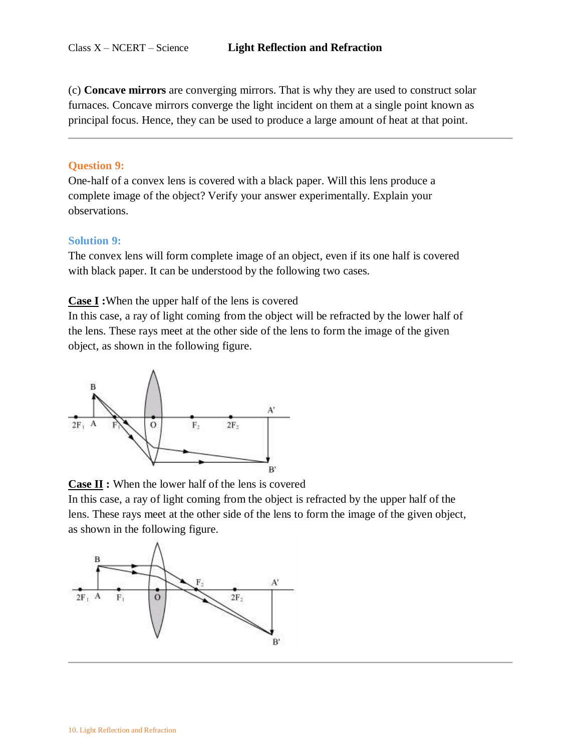(c) **Concave mirrors** are converging mirrors. That is why they are used to construct solar furnaces. Concave mirrors converge the light incident on them at a single point known as principal focus. Hence, they can be used to produce a large amount of heat at that point.

## **Question 9:**

One-half of a convex lens is covered with a black paper. Will this lens produce a complete image of the object? Verify your answer experimentally. Explain your observations.

### **Solution 9:**

The convex lens will form complete image of an object, even if its one half is covered with black paper. It can be understood by the following two cases.

## **Case I :**When the upper half of the lens is covered

In this case, a ray of light coming from the object will be refracted by the lower half of the lens. These rays meet at the other side of the lens to form the image of the given object, as shown in the following figure.



**Case II :** When the lower half of the lens is covered

In this case, a ray of light coming from the object is refracted by the upper half of the lens. These rays meet at the other side of the lens to form the image of the given object, as shown in the following figure.

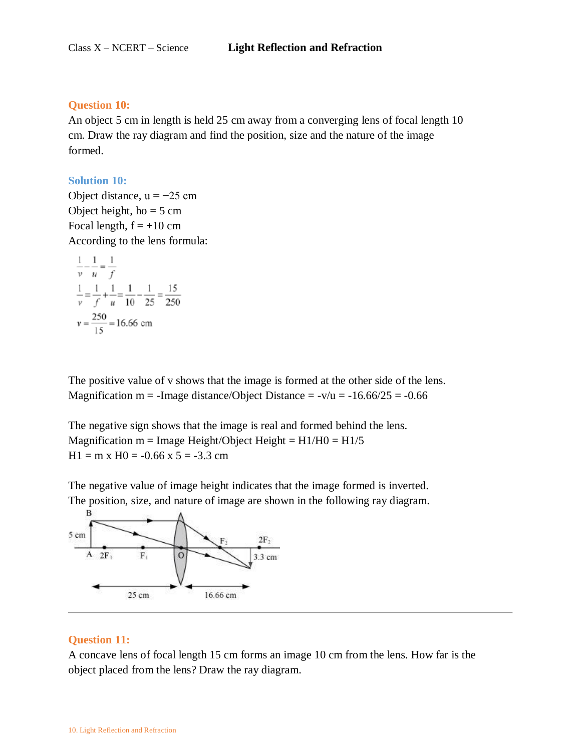#### **Question 10:**

An object 5 cm in length is held 25 cm away from a converging lens of focal length 10 cm. Draw the ray diagram and find the position, size and the nature of the image formed.

#### **Solution 10:**

Object distance,  $u = -25$  cm Object height,  $ho = 5$  cm Focal length,  $f = +10$  cm According to the lens formula:

$$
\frac{1}{v} - \frac{1}{u} = \frac{1}{f}
$$
  

$$
\frac{1}{v} = \frac{1}{f} + \frac{1}{u} = \frac{1}{10} - \frac{1}{25} = \frac{15}{250}
$$
  

$$
v = \frac{250}{15} = 16.66
$$
 cm

The positive value of v shows that the image is formed at the other side of the lens. Magnification m = -Image distance/Object Distance =  $-v/u = -16.66/25 = -0.66$ 

The negative sign shows that the image is real and formed behind the lens. Magnification m = Image Height/Object Height =  $H1/H0 = H1/5$  $H1 = m \times H0 = -0.66 \times 5 = -3.3$  cm

The negative value of image height indicates that the image formed is inverted. The position, size, and nature of image are shown in the following ray diagram.



## **Question 11:**

A concave lens of focal length 15 cm forms an image 10 cm from the lens. How far is the object placed from the lens? Draw the ray diagram.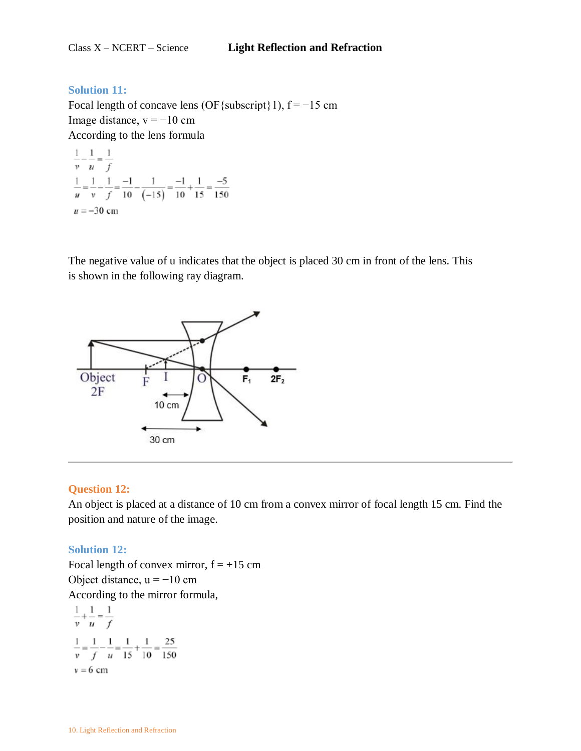## **Solution 11:**

Focal length of concave lens (OF{subscript}1),  $f = -15$  cm Image distance,  $v = -10$  cm According to the lens formula

 $\frac{1}{v} - \frac{1}{u} = \frac{1}{f}$  $\frac{1}{u} = \frac{1}{v} - \frac{1}{f} = \frac{-1}{10} - \frac{1}{(-15)} = \frac{-1}{10} + \frac{1}{15} = \frac{-5}{150}$  $u = -30$  cm

The negative value of u indicates that the object is placed 30 cm in front of the lens. This is shown in the following ray diagram.



## **Question 12:**

An object is placed at a distance of 10 cm from a convex mirror of focal length 15 cm. Find the position and nature of the image.

## **Solution 12:**

Focal length of convex mirror,  $f = +15$  cm Object distance,  $u = -10$  cm According to the mirror formula,

$$
\frac{1}{v} + \frac{1}{u} = \frac{1}{f}
$$
  

$$
\frac{1}{v} = \frac{1}{f} - \frac{1}{u} = \frac{1}{15} + \frac{1}{10} = \frac{25}{150}
$$
  

$$
v = 6 \text{ cm}
$$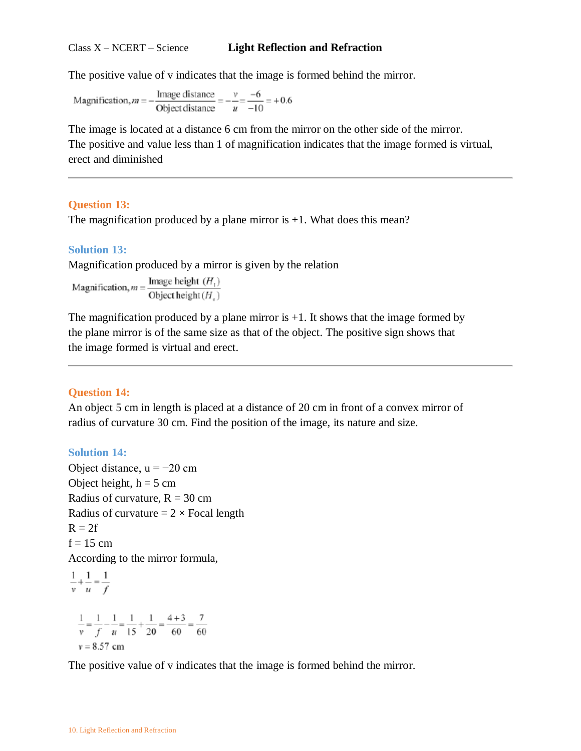#### Class X – NCERT – Science **Light Reflection and Refraction**

The positive value of v indicates that the image is formed behind the mirror.

 $\frac{\text{Image distance}}{\text{Object distance}} = -\frac{v}{u} = \frac{-6}{-10} = +0.6$ Magnification, $m = -$ 

The image is located at a distance 6 cm from the mirror on the other side of the mirror. The positive and value less than 1 of magnification indicates that the image formed is virtual, erect and diminished

### **Question 13:**

The magnification produced by a plane mirror is  $+1$ . What does this mean?

#### **Solution 13:**

Magnification produced by a mirror is given by the relation

Magnification,  $m = \frac{\text{Image height } (H_1)}{\text{Object height } (H_n)}$ 

The magnification produced by a plane mirror is  $+1$ . It shows that the image formed by the plane mirror is of the same size as that of the object. The positive sign shows that the image formed is virtual and erect.

#### **Question 14:**

An object 5 cm in length is placed at a distance of 20 cm in front of a convex mirror of radius of curvature 30 cm. Find the position of the image, its nature and size.

#### **Solution 14:**

Object distance,  $u = -20$  cm Object height,  $h = 5$  cm Radius of curvature,  $R = 30$  cm Radius of curvature  $= 2 \times$  Focal length  $R = 2f$  $f = 15$  cm According to the mirror formula,

$$
\frac{1}{v} + \frac{1}{u} = \frac{1}{f}
$$
  

$$
\frac{1}{v} = \frac{1}{f} - \frac{1}{u} = \frac{1}{15} + \frac{1}{20} = \frac{4+3}{60} = \frac{7}{60}
$$
  

$$
v = 8.57 \text{ cm}
$$

The positive value of v indicates that the image is formed behind the mirror.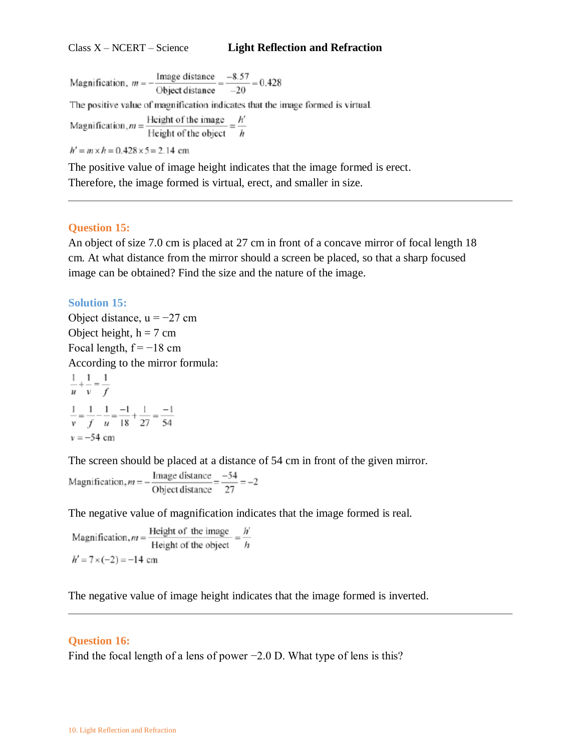#### Class X – NCERT – Science **Light Reflection and Refraction**

Magnification,  $m = -\frac{\text{Image distance}}{\text{Object distance}} = \frac{-8.57}{-20} = 0.428$ The positive value of magnification indicates that the image formed is virtual. Magnification,  $m = \frac{\text{Height of the image}}{\text{Height of the object}} = \frac{h'}{h}$  $h' = m \times h = 0.428 \times 5 = 2.14$  cm

The positive value of image height indicates that the image formed is erect. Therefore, the image formed is virtual, erect, and smaller in size.

### **Question 15:**

An object of size 7.0 cm is placed at 27 cm in front of a concave mirror of focal length 18 cm. At what distance from the mirror should a screen be placed, so that a sharp focused image can be obtained? Find the size and the nature of the image.

### **Solution 15:**

Object distance,  $u = -27$  cm Object height,  $h = 7$  cm Focal length,  $f = -18$  cm According to the mirror formula:  $\frac{1}{u} + \frac{1}{v} = \frac{1}{f}$ 

$$
\frac{1}{v} = \frac{1}{f} - \frac{1}{u} = \frac{-1}{18} + \frac{1}{27} = \frac{-1}{54}
$$
  
v = -54 cm

The screen should be placed at a distance of 54 cm in front of the given mirror.

Magnification,  $m = -\frac{\text{Image distance}}{\text{Object distance}} = \frac{-54}{27} = -2$ 

The negative value of magnification indicates that the image formed is real.

Magnification,  $m = \frac{\text{Height of the image}}{\text{Height of the object}} = \frac{h'}{h}$  $h' = 7 \times (-2) = -14$  cm

The negative value of image height indicates that the image formed is inverted.

#### **Question 16:**

Find the focal length of a lens of power −2.0 D. What type of lens is this?